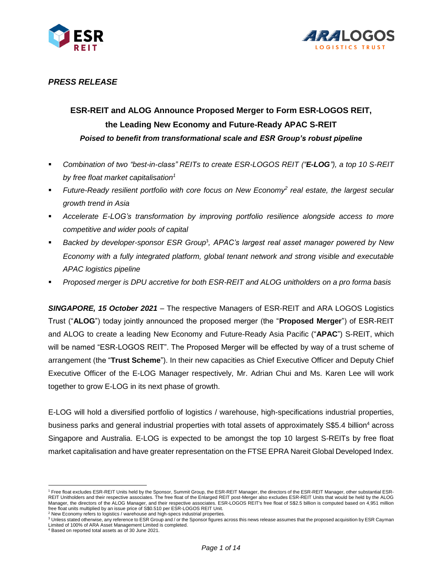



# *PRESS RELEASE*

# **ESR-REIT and ALOG Announce Proposed Merger to Form ESR-LOGOS REIT, the Leading New Economy and Future-Ready APAC S-REIT** *Poised to benefit from transformational scale and ESR Group's robust pipeline*

- *Combination of two "best-in-class" REITs to create ESR-LOGOS REIT ("E-LOG"), a top 10 S-REIT by free float market capitalisation<sup>1</sup>*
- *Future-Ready resilient portfolio with core focus on New Economy 2 real estate, the largest secular growth trend in Asia*
- *Accelerate E-LOG's transformation by improving portfolio resilience alongside access to more competitive and wider pools of capital*
- **Backed by developer-sponsor ESR Group<sup>3</sup>, APAC's largest real asset manager powered by New** *Economy with a fully integrated platform, global tenant network and strong visible and executable APAC logistics pipeline*
- *Proposed merger is DPU accretive for both ESR-REIT and ALOG unitholders on a pro forma basis*

*SINGAPORE, 15 October 2021* – The respective Managers of ESR-REIT and ARA LOGOS Logistics Trust ("**ALOG**") today jointly announced the proposed merger (the "**Proposed Merger**") of ESR-REIT and ALOG to create a leading New Economy and Future-Ready Asia Pacific ("**APAC**") S-REIT, which will be named "ESR-LOGOS REIT". The Proposed Merger will be effected by way of a trust scheme of arrangement (the "**Trust Scheme**"). In their new capacities as Chief Executive Officer and Deputy Chief Executive Officer of the E-LOG Manager respectively, Mr. Adrian Chui and Ms. Karen Lee will work together to grow E-LOG in its next phase of growth.

E-LOG will hold a diversified portfolio of logistics / warehouse, high-specifications industrial properties, business parks and general industrial properties with total assets of approximately S\$5.4 billion<sup>4</sup> across Singapore and Australia. E-LOG is expected to be amongst the top 10 largest S-REITs by free float market capitalisation and have greater representation on the FTSE EPRA Nareit Global Developed Index.

 $\overline{a}$ <sup>1</sup> Free float excludes ESR-REIT Units held by the Sponsor, Summit Group, the ESR-REIT Manager, the directors of the ESR-REIT Manager, other substantial ESR-REIT Unitholders and their respective associates. The free float of the Enlarged REIT post-Merger also excludes ESR-REIT Units that would be held by the ALOG Manager, the directors of the ALOG Manager, and their respective associates. ESR-LOGOS REIT's free float of S\$2.5 billion is computed based on 4,951 million free float units multiplied by an issue price of S\$0.510 per ESR-LOGOS REIT Unit.

<sup>2</sup> New Economy refers to logistics / warehouse and high-specs industrial properties.

<sup>&</sup>lt;sup>3</sup> Unless stated otherwise, any reference to ESR Group and / or the Sponsor figures across this news release assumes that the proposed acquisition by ESR Cayman Limited of 100% of ARA Asset Management Limited is completed.

<sup>4</sup> Based on reported total assets as of 30 June 2021.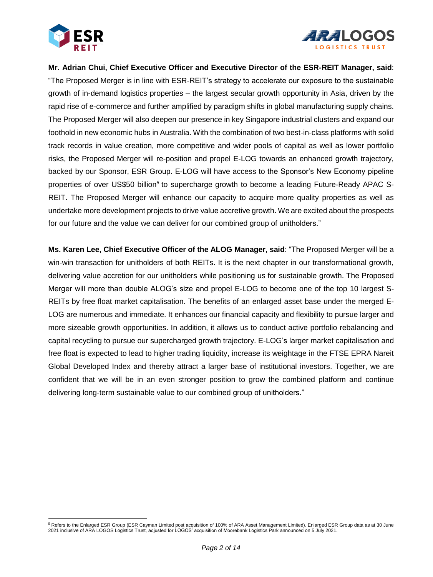



**Mr. Adrian Chui, Chief Executive Officer and Executive Director of the ESR-REIT Manager, said**: "The Proposed Merger is in line with ESR-REIT's strategy to accelerate our exposure to the sustainable growth of in-demand logistics properties – the largest secular growth opportunity in Asia, driven by the rapid rise of e-commerce and further amplified by paradigm shifts in global manufacturing supply chains. The Proposed Merger will also deepen our presence in key Singapore industrial clusters and expand our foothold in new economic hubs in Australia. With the combination of two best-in-class platforms with solid track records in value creation, more competitive and wider pools of capital as well as lower portfolio risks, the Proposed Merger will re-position and propel E-LOG towards an enhanced growth trajectory, backed by our Sponsor, ESR Group. E-LOG will have access to the Sponsor's New Economy pipeline properties of over US\$50 billion<sup>5</sup> to supercharge growth to become a leading Future-Ready APAC S-REIT. The Proposed Merger will enhance our capacity to acquire more quality properties as well as undertake more development projects to drive value accretive growth. We are excited about the prospects for our future and the value we can deliver for our combined group of unitholders."

**Ms. Karen Lee, Chief Executive Officer of the ALOG Manager, said**: "The Proposed Merger will be a win-win transaction for unitholders of both REITs. It is the next chapter in our transformational growth, delivering value accretion for our unitholders while positioning us for sustainable growth. The Proposed Merger will more than double ALOG's size and propel E-LOG to become one of the top 10 largest S-REITs by free float market capitalisation. The benefits of an enlarged asset base under the merged E-LOG are numerous and immediate. It enhances our financial capacity and flexibility to pursue larger and more sizeable growth opportunities. In addition, it allows us to conduct active portfolio rebalancing and capital recycling to pursue our supercharged growth trajectory. E-LOG's larger market capitalisation and free float is expected to lead to higher trading liquidity, increase its weightage in the FTSE EPRA Nareit Global Developed Index and thereby attract a larger base of institutional investors. Together, we are confident that we will be in an even stronger position to grow the combined platform and continue delivering long-term sustainable value to our combined group of unitholders."

 $\overline{a}$ <sup>5</sup> Refers to the Enlarged ESR Group (ESR Cayman Limited post acquisition of 100% of ARA Asset Management Limited). Enlarged ESR Group data as at 30 June 2021 inclusive of ARA LOGOS Logistics Trust, adjusted for LOGOS' acquisition of Moorebank Logistics Park announced on 5 July 2021.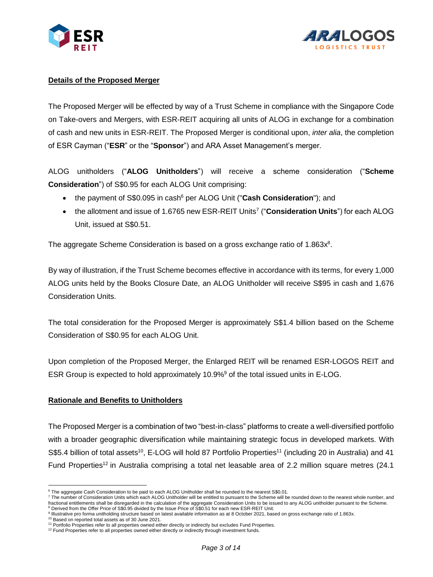



## **Details of the Proposed Merger**

The Proposed Merger will be effected by way of a Trust Scheme in compliance with the Singapore Code on Take-overs and Mergers, with ESR-REIT acquiring all units of ALOG in exchange for a combination of cash and new units in ESR-REIT. The Proposed Merger is conditional upon, *inter alia*, the completion of ESR Cayman ("**ESR**" or the "**Sponsor**") and ARA Asset Management's merger.

ALOG unitholders ("**ALOG Unitholders**") will receive a scheme consideration ("**Scheme Consideration**") of S\$0.95 for each ALOG Unit comprising:

- the payment of S\$0.095 in cash<sup>6</sup> per ALOG Unit ("**Cash Consideration**"); and
- the allotment and issue of 1.6765 new ESR-REIT Units<sup>7</sup> ("**Consideration Units**") for each ALOG Unit, issued at S\$0.51.

The aggregate Scheme Consideration is based on a gross exchange ratio of 1.863 $x^8$ .

By way of illustration, if the Trust Scheme becomes effective in accordance with its terms, for every 1,000 ALOG units held by the Books Closure Date, an ALOG Unitholder will receive S\$95 in cash and 1,676 Consideration Units.

The total consideration for the Proposed Merger is approximately S\$1.4 billion based on the Scheme Consideration of S\$0.95 for each ALOG Unit.

Upon completion of the Proposed Merger, the Enlarged REIT will be renamed ESR-LOGOS REIT and ESR Group is expected to hold approximately 10.9%<sup>9</sup> of the total issued units in E-LOG.

#### **Rationale and Benefits to Unitholders**

The Proposed Merger is a combination of two "best-in-class" platforms to create a well-diversified portfolio with a broader geographic diversification while maintaining strategic focus in developed markets. With S\$5.4 billion of total assets<sup>10</sup>, E-LOG will hold 87 Portfolio Properties<sup>11</sup> (including 20 in Australia) and 41 Fund Properties<sup>12</sup> in Australia comprising a total net leasable area of 2.2 million square metres (24.1)

 $\overline{a}$ <sup>6</sup> The aggregate Cash Consideration to be paid to each ALOG Unitholder shall be rounded to the nearest S\$0.01.

<sup>7</sup> The number of Consideration Units which each ALOG Unitholder will be entitled to pursuant to the Scheme will be rounded down to the nearest whole number, and fractional entitlements shall be disregarded in the calculation of the aggregate Consideration Units to be issued to any ALOG unitholder pursuant to the Scheme. <sup>8</sup> Derived from the Offer Price of S\$0.95 divided by the Issue Price of S\$0.51 for each new ESR-REIT Unit.

<sup>9</sup> Illustrative pro forma unitholding structure based on latest available information as at 8 October 2021, based on gross exchange ratio of 1.863x.

<sup>10</sup> Based on reported total assets as of 30 June 2021.

<sup>&</sup>lt;sup>11</sup> Portfolio Properties refer to all properties owned either directly or indirectly but excludes Fund Properties.

<sup>&</sup>lt;sup>12</sup> Fund Properties refer to all properties owned either directly or indirectly through investment funds.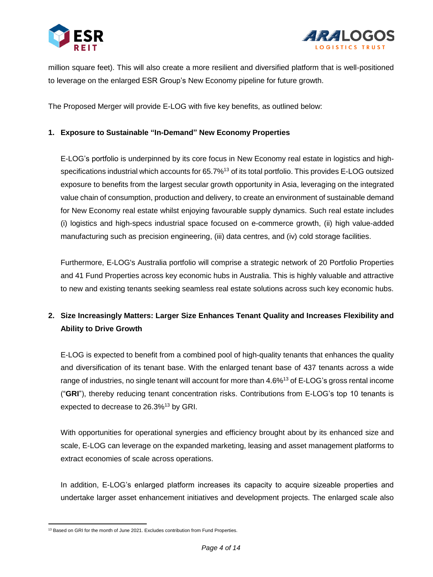



million square feet). This will also create a more resilient and diversified platform that is well-positioned to leverage on the enlarged ESR Group's New Economy pipeline for future growth.

The Proposed Merger will provide E-LOG with five key benefits, as outlined below:

#### **1. Exposure to Sustainable "In-Demand" New Economy Properties**

E-LOG's portfolio is underpinned by its core focus in New Economy real estate in logistics and highspecifications industrial which accounts for 65.7%<sup>13</sup> of its total portfolio. This provides E-LOG outsized exposure to benefits from the largest secular growth opportunity in Asia, leveraging on the integrated value chain of consumption, production and delivery, to create an environment of sustainable demand for New Economy real estate whilst enjoying favourable supply dynamics. Such real estate includes (i) logistics and high-specs industrial space focused on e-commerce growth, (ii) high value-added manufacturing such as precision engineering, (iii) data centres, and (iv) cold storage facilities.

Furthermore, E-LOG's Australia portfolio will comprise a strategic network of 20 Portfolio Properties and 41 Fund Properties across key economic hubs in Australia. This is highly valuable and attractive to new and existing tenants seeking seamless real estate solutions across such key economic hubs.

# **2. Size Increasingly Matters: Larger Size Enhances Tenant Quality and Increases Flexibility and Ability to Drive Growth**

E-LOG is expected to benefit from a combined pool of high-quality tenants that enhances the quality and diversification of its tenant base. With the enlarged tenant base of 437 tenants across a wide range of industries, no single tenant will account for more than 4.6%<sup>13</sup> of E-LOG's gross rental income ("**GRI**"), thereby reducing tenant concentration risks. Contributions from E-LOG's top 10 tenants is expected to decrease to 26.3%<sup>13</sup> by GRI.

With opportunities for operational synergies and efficiency brought about by its enhanced size and scale, E-LOG can leverage on the expanded marketing, leasing and asset management platforms to extract economies of scale across operations.

In addition, E-LOG's enlarged platform increases its capacity to acquire sizeable properties and undertake larger asset enhancement initiatives and development projects. The enlarged scale also

 $\overline{a}$ <sup>13</sup> Based on GRI for the month of June 2021. Excludes contribution from Fund Properties.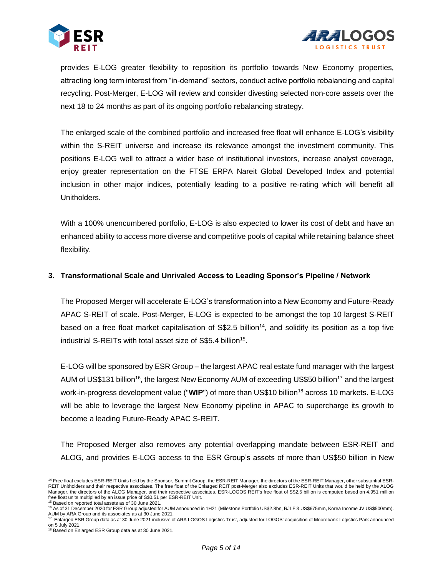



provides E-LOG greater flexibility to reposition its portfolio towards New Economy properties, attracting long term interest from "in-demand" sectors, conduct active portfolio rebalancing and capital recycling. Post-Merger, E-LOG will review and consider divesting selected non-core assets over the next 18 to 24 months as part of its ongoing portfolio rebalancing strategy.

The enlarged scale of the combined portfolio and increased free float will enhance E-LOG's visibility within the S-REIT universe and increase its relevance amongst the investment community. This positions E-LOG well to attract a wider base of institutional investors, increase analyst coverage, enjoy greater representation on the FTSE ERPA Nareit Global Developed Index and potential inclusion in other major indices, potentially leading to a positive re-rating which will benefit all Unitholders.

With a 100% unencumbered portfolio, E-LOG is also expected to lower its cost of debt and have an enhanced ability to access more diverse and competitive pools of capital while retaining balance sheet flexibility.

### **3. Transformational Scale and Unrivaled Access to Leading Sponsor's Pipeline / Network**

The Proposed Merger will accelerate E-LOG's transformation into a New Economy and Future-Ready APAC S-REIT of scale. Post-Merger, E-LOG is expected to be amongst the top 10 largest S-REIT based on a free float market capitalisation of S\$2.5 billion<sup>14</sup>, and solidify its position as a top five industrial S-REITs with total asset size of S\$5.4 billion<sup>15</sup>.

E-LOG will be sponsored by ESR Group – the largest APAC real estate fund manager with the largest AUM of US\$131 billion<sup>16</sup>, the largest New Economy AUM of exceeding US\$50 billion<sup>17</sup> and the largest work-in-progress development value ("WIP") of more than US\$10 billion<sup>18</sup> across 10 markets. E-LOG will be able to leverage the largest New Economy pipeline in APAC to supercharge its growth to become a leading Future-Ready APAC S-REIT.

The Proposed Merger also removes any potential overlapping mandate between ESR-REIT and ALOG, and provides E-LOG access to the ESR Group's assets of more than US\$50 billion in New

<sup>15</sup> Based on reported total assets as of 30 June 2021.

 $\overline{a}$ <sup>14</sup> Free float excludes ESR-REIT Units held by the Sponsor, Summit Group, the ESR-REIT Manager, the directors of the ESR-REIT Manager, other substantial ESR-REIT Unitholders and their respective associates. The free float of the Enlarged REIT post-Merger also excludes ESR-REIT Units that would be held by the ALOG Manager, the directors of the ALOG Manager, and their respective associates. ESR-LOGOS REIT's free float of S\$2.5 billion is computed based on 4,951 million free float units multiplied by an issue price of S\$0.51 per ESR-REIT Unit.

<sup>&</sup>lt;sup>16</sup> As of 31 December 2020 for ESR Group adjusted for AUM announced in 1H21 (Milestone Portfolio US\$2.8bn, RJLF 3 US\$675mm, Korea Income JV US\$500mm).

AUM by ARA Group and its associates as at 30 June 2021.<br><sup>17</sup> Enlarged ESR Group data as at 30 June 2021 inclusive of ARA LOGOS Logistics Trust, adjusted for LOGOS' acquisition of Moorebank Logistics Park announced on 5 July 2021.

<sup>18</sup> Based on Enlarged ESR Group data as at 30 June 2021.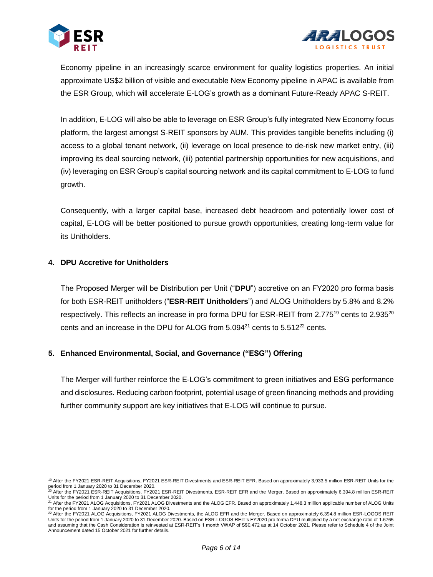



Economy pipeline in an increasingly scarce environment for quality logistics properties. An initial approximate US\$2 billion of visible and executable New Economy pipeline in APAC is available from the ESR Group, which will accelerate E-LOG's growth as a dominant Future-Ready APAC S-REIT.

In addition, E-LOG will also be able to leverage on ESR Group's fully integrated New Economy focus platform, the largest amongst S-REIT sponsors by AUM. This provides tangible benefits including (i) access to a global tenant network, (ii) leverage on local presence to de-risk new market entry, (iii) improving its deal sourcing network, (iii) potential partnership opportunities for new acquisitions, and (iv) leveraging on ESR Group's capital sourcing network and its capital commitment to E-LOG to fund growth.

Consequently, with a larger capital base, increased debt headroom and potentially lower cost of capital, E-LOG will be better positioned to pursue growth opportunities, creating long-term value for its Unitholders.

#### **4. DPU Accretive for Unitholders**

The Proposed Merger will be Distribution per Unit ("**DPU**") accretive on an FY2020 pro forma basis for both ESR-REIT unitholders ("**ESR-REIT Unitholders**") and ALOG Unitholders by 5.8% and 8.2% respectively. This reflects an increase in pro forma DPU for ESR-REIT from 2.775<sup>19</sup> cents to 2.935<sup>20</sup> cents and an increase in the DPU for ALOG from  $5.094^{21}$  cents to  $5.512^{22}$  cents.

#### **5. Enhanced Environmental, Social, and Governance ("ESG") Offering**

The Merger will further reinforce the E-LOG's commitment to green initiatives and ESG performance and disclosures. Reducing carbon footprint, potential usage of green financing methods and providing further community support are key initiatives that E-LOG will continue to pursue.

 $\overline{a}$ 19 After the FY2021 ESR-REIT Acquisitions, FY2021 ESR-REIT Divestments and ESR-REIT EFR. Based on approximately 3,933.5 million ESR-REIT Units for the period from 1 January 2020 to 31 December 2020.<br><sup>20</sup> After the FY2021 ESR-REIT Acquisitions, FY2021 ESR-REIT Divestments, ESR-REIT EFR and the Merger. Based on approximately 6,394.8 million ESR-REIT

Units for the period from 1 January 2020 to 31 December 2020.

<sup>21</sup> After the FY2021 ALOG Acquisitions, FY2021 ALOG Divestments and the ALOG EFR. Based on approximately 1,448.3 million applicable number of ALOG Units for the period from 1 January 2020 to 31 December 2020.

<sup>22</sup> After the FY2021 ALOG Acquisitions, FY2021 ALOG Divestments, the ALOG EFR and the Merger. Based on approximately 6,394.8 million ESR-LOGOS REIT Units for the period from 1 January 2020 to 31 December 2020. Based on ESR-LOGOS REIT's FY2020 pro forma DPU multiplied by a net exchange ratio of 1.6765 and assuming that the Cash Consideration is reinvested at ESR-REIT's 1 month VWAP of S\$0.472 as at 14 October 2021. Please refer to Schedule 4 of the Joint Announcement dated 15 October 2021 for further details.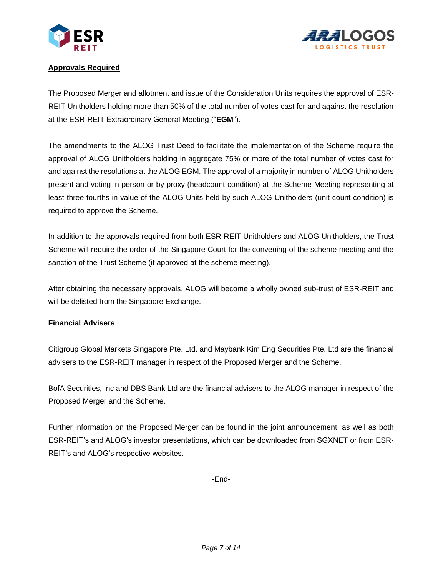



# **Approvals Required**

The Proposed Merger and allotment and issue of the Consideration Units requires the approval of ESR-REIT Unitholders holding more than 50% of the total number of votes cast for and against the resolution at the ESR-REIT Extraordinary General Meeting ("**EGM**").

The amendments to the ALOG Trust Deed to facilitate the implementation of the Scheme require the approval of ALOG Unitholders holding in aggregate 75% or more of the total number of votes cast for and against the resolutions at the ALOG EGM. The approval of a majority in number of ALOG Unitholders present and voting in person or by proxy (headcount condition) at the Scheme Meeting representing at least three-fourths in value of the ALOG Units held by such ALOG Unitholders (unit count condition) is required to approve the Scheme.

In addition to the approvals required from both ESR-REIT Unitholders and ALOG Unitholders, the Trust Scheme will require the order of the Singapore Court for the convening of the scheme meeting and the sanction of the Trust Scheme (if approved at the scheme meeting).

After obtaining the necessary approvals, ALOG will become a wholly owned sub-trust of ESR-REIT and will be delisted from the Singapore Exchange.

# **Financial Advisers**

Citigroup Global Markets Singapore Pte. Ltd. and Maybank Kim Eng Securities Pte. Ltd are the financial advisers to the ESR-REIT manager in respect of the Proposed Merger and the Scheme.

BofA Securities, Inc and DBS Bank Ltd are the financial advisers to the ALOG manager in respect of the Proposed Merger and the Scheme.

Further information on the Proposed Merger can be found in the joint announcement, as well as both ESR-REIT's and ALOG's investor presentations, which can be downloaded from SGXNET or from ESR-REIT's and ALOG's respective websites.

-End-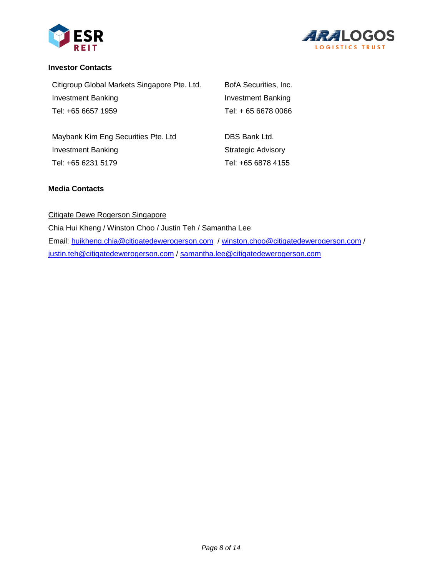



#### **Investor Contacts**

| Citigroup Global Markets Singapore Pte. Ltd. | BofA Securities, Inc. |
|----------------------------------------------|-----------------------|
| Investment Banking                           | Investment Banking    |
| Tel: +65 6657 1959                           | Tel: + 65 6678 0066   |

| Maybank Kim Eng Securities Pte. Ltd | DBS Bank Ltd.             |
|-------------------------------------|---------------------------|
| Investment Banking                  | <b>Strategic Advisory</b> |
| Tel: +65 6231 5179                  | Tel: +65 6878 4155        |

### **Media Contacts**

#### Citigate Dewe Rogerson Singapore

Chia Hui Kheng / Winston Choo / Justin Teh / Samantha Lee Email: [huikheng.chia@citigatedewerogerson.com](mailto:huikheng.chia@citigatedewerogerson.com) / [winston.choo@citigatedewerogerson.com](mailto:winston.choo@citigatedewerogerson.com) / [justin.teh@citigatedewerogerson.com](mailto:justin.teh@citigatedewerogerson.com) / [samantha.lee@citigatedewerogerson.com](mailto:samantha.lee@citigatedewerogerson.com)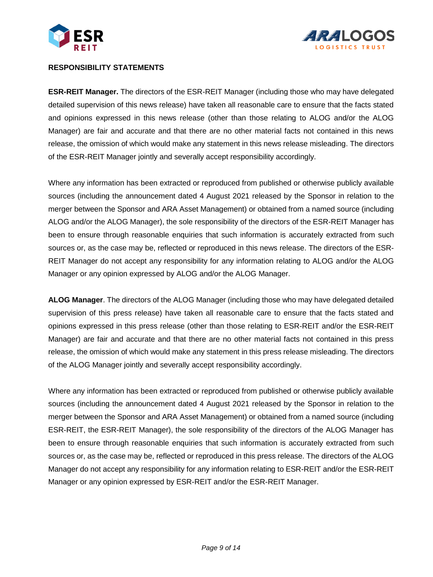



#### **RESPONSIBILITY STATEMENTS**

**ESR-REIT Manager.** The directors of the ESR-REIT Manager (including those who may have delegated detailed supervision of this news release) have taken all reasonable care to ensure that the facts stated and opinions expressed in this news release (other than those relating to ALOG and/or the ALOG Manager) are fair and accurate and that there are no other material facts not contained in this news release, the omission of which would make any statement in this news release misleading. The directors of the ESR-REIT Manager jointly and severally accept responsibility accordingly.

Where any information has been extracted or reproduced from published or otherwise publicly available sources (including the announcement dated 4 August 2021 released by the Sponsor in relation to the merger between the Sponsor and ARA Asset Management) or obtained from a named source (including ALOG and/or the ALOG Manager), the sole responsibility of the directors of the ESR-REIT Manager has been to ensure through reasonable enquiries that such information is accurately extracted from such sources or, as the case may be, reflected or reproduced in this news release. The directors of the ESR-REIT Manager do not accept any responsibility for any information relating to ALOG and/or the ALOG Manager or any opinion expressed by ALOG and/or the ALOG Manager.

**ALOG Manager**. The directors of the ALOG Manager (including those who may have delegated detailed supervision of this press release) have taken all reasonable care to ensure that the facts stated and opinions expressed in this press release (other than those relating to ESR-REIT and/or the ESR-REIT Manager) are fair and accurate and that there are no other material facts not contained in this press release, the omission of which would make any statement in this press release misleading. The directors of the ALOG Manager jointly and severally accept responsibility accordingly.

Where any information has been extracted or reproduced from published or otherwise publicly available sources (including the announcement dated 4 August 2021 released by the Sponsor in relation to the merger between the Sponsor and ARA Asset Management) or obtained from a named source (including ESR-REIT, the ESR-REIT Manager), the sole responsibility of the directors of the ALOG Manager has been to ensure through reasonable enquiries that such information is accurately extracted from such sources or, as the case may be, reflected or reproduced in this press release. The directors of the ALOG Manager do not accept any responsibility for any information relating to ESR-REIT and/or the ESR-REIT Manager or any opinion expressed by ESR-REIT and/or the ESR-REIT Manager.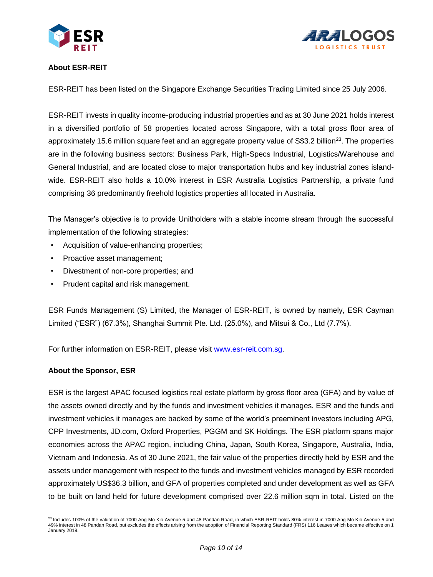



# **About ESR-REIT**

ESR-REIT has been listed on the Singapore Exchange Securities Trading Limited since 25 July 2006.

ESR-REIT invests in quality income-producing industrial properties and as at 30 June 2021 holds interest in a diversified portfolio of 58 properties located across Singapore, with a total gross floor area of approximately 15.6 million square feet and an aggregate property value of  $$3.2$  billion<sup>23</sup>. The properties are in the following business sectors: Business Park, High-Specs Industrial, Logistics/Warehouse and General Industrial, and are located close to major transportation hubs and key industrial zones islandwide. ESR-REIT also holds a 10.0% interest in ESR Australia Logistics Partnership, a private fund comprising 36 predominantly freehold logistics properties all located in Australia.

The Manager's objective is to provide Unitholders with a stable income stream through the successful implementation of the following strategies:

- Acquisition of value-enhancing properties;
- Proactive asset management;
- Divestment of non-core properties; and
- Prudent capital and risk management.

ESR Funds Management (S) Limited, the Manager of ESR-REIT, is owned by namely, ESR Cayman Limited ("ESR") (67.3%), Shanghai Summit Pte. Ltd. (25.0%), and Mitsui & Co., Ltd (7.7%).

For further information on ESR-REIT, please visit [www.esr-reit.com.sg.](http://www.esr-reit.com.sg/)

#### **About the Sponsor, ESR**

ESR is the largest APAC focused logistics real estate platform by gross floor area (GFA) and by value of the assets owned directly and by the funds and investment vehicles it manages. ESR and the funds and investment vehicles it manages are backed by some of the world's preeminent investors including APG, CPP Investments, JD.com, Oxford Properties, PGGM and SK Holdings. The ESR platform spans major economies across the APAC region, including China, Japan, South Korea, Singapore, Australia, India, Vietnam and Indonesia. As of 30 June 2021, the fair value of the properties directly held by ESR and the assets under management with respect to the funds and investment vehicles managed by ESR recorded approximately US\$36.3 billion, and GFA of properties completed and under development as well as GFA to be built on land held for future development comprised over 22.6 million sqm in total. Listed on the

 $\overline{a}$ <sup>23</sup> Includes 100% of the valuation of 7000 Ang Mo Kio Avenue 5 and 48 Pandan Road, in which ESR-REIT holds 80% interest in 7000 Ang Mo Kio Avenue 5 and 49% interest in 48 Pandan Road, but excludes the effects arising from the adoption of Financial Reporting Standard (FRS) 116 Leases which became effective on 1 January 2019.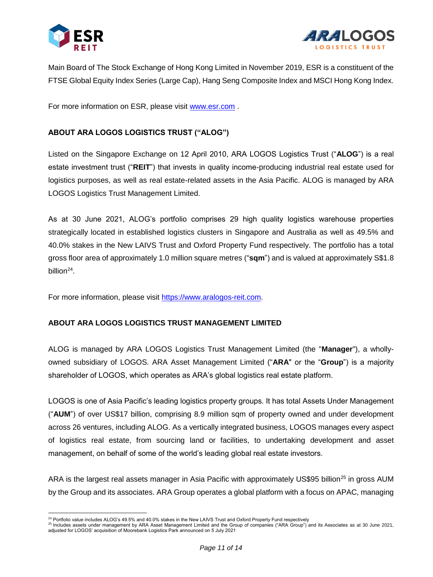



Main Board of The Stock Exchange of Hong Kong Limited in November 2019, ESR is a constituent of the FTSE Global Equity Index Series (Large Cap), Hang Seng Composite Index and MSCI Hong Kong Index.

For more information on ESR, please visit [www.esr.com](http://www.esr.com/) .

# **ABOUT ARA LOGOS LOGISTICS TRUST ("ALOG")**

Listed on the Singapore Exchange on 12 April 2010, ARA LOGOS Logistics Trust ("**ALOG**") is a real estate investment trust ("**REIT**") that invests in quality income-producing industrial real estate used for logistics purposes, as well as real estate-related assets in the Asia Pacific. ALOG is managed by ARA LOGOS Logistics Trust Management Limited.

As at 30 June 2021, ALOG's portfolio comprises 29 high quality logistics warehouse properties strategically located in established logistics clusters in Singapore and Australia as well as 49.5% and 40.0% stakes in the New LAIVS Trust and Oxford Property Fund respectively. The portfolio has a total gross floor area of approximately 1.0 million square metres ("**sqm**") and is valued at approximately S\$1.8 billion<sup>24</sup>.

For more information, please visit [https://www.aralogos-reit.com.](https://www.aralogos-reit.com/)

#### **ABOUT ARA LOGOS LOGISTICS TRUST MANAGEMENT LIMITED**

ALOG is managed by ARA LOGOS Logistics Trust Management Limited (the "**Manager**"), a whollyowned subsidiary of LOGOS. ARA Asset Management Limited ("**ARA**" or the "**Group**") is a majority shareholder of LOGOS, which operates as ARA's global logistics real estate platform.

LOGOS is one of Asia Pacific's leading logistics property groups. It has total Assets Under Management ("**AUM**") of over US\$17 billion, comprising 8.9 million sqm of property owned and under development across 26 ventures, including ALOG. As a vertically integrated business, LOGOS manages every aspect of logistics real estate, from sourcing land or facilities, to undertaking development and asset management, on behalf of some of the world's leading global real estate investors.

ARA is the largest real assets manager in Asia Pacific with approximately US\$95 billion<sup>25</sup> in gross AUM by the Group and its associates. ARA Group operates a global platform with a focus on APAC, managing

 $\overline{a}$ <sup>24</sup> Portfolio value includes ALOG's 49.5% and 40.0% stakes in the New LAIVS Trust and Oxford Property Fund respectively

<sup>25</sup> Includes assets under management by ARA Asset Management Limited and the Group of companies ("ARA Group") and its Associates as at 30 June 2021, adjusted for LOGOS' acquisition of Moorebank Logistics Park announced on 5 July 2021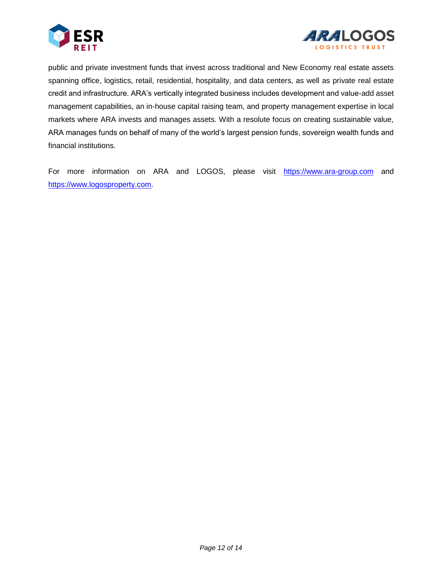



public and private investment funds that invest across traditional and New Economy real estate assets spanning office, logistics, retail, residential, hospitality, and data centers, as well as private real estate credit and infrastructure. ARA's vertically integrated business includes development and value-add asset management capabilities, an in-house capital raising team, and property management expertise in local markets where ARA invests and manages assets. With a resolute focus on creating sustainable value, ARA manages funds on behalf of many of the world's largest pension funds, sovereign wealth funds and financial institutions.

For more information on ARA and LOGOS, please visit [https://www.ara-group.com](https://www.ara-group.com/) and [https://www.logosproperty.com.](https://www.logosproperty.com/)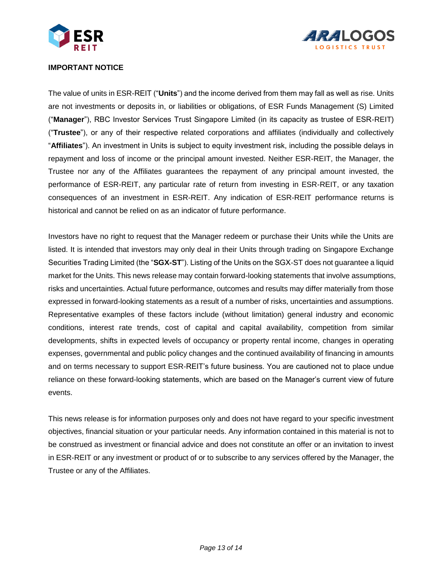



#### **IMPORTANT NOTICE**

The value of units in ESR-REIT ("**Units**") and the income derived from them may fall as well as rise. Units are not investments or deposits in, or liabilities or obligations, of ESR Funds Management (S) Limited ("**Manager**"), RBC Investor Services Trust Singapore Limited (in its capacity as trustee of ESR-REIT) ("**Trustee**"), or any of their respective related corporations and affiliates (individually and collectively "**Affiliates**"). An investment in Units is subject to equity investment risk, including the possible delays in repayment and loss of income or the principal amount invested. Neither ESR-REIT, the Manager, the Trustee nor any of the Affiliates guarantees the repayment of any principal amount invested, the performance of ESR-REIT, any particular rate of return from investing in ESR-REIT, or any taxation consequences of an investment in ESR-REIT. Any indication of ESR-REIT performance returns is historical and cannot be relied on as an indicator of future performance.

Investors have no right to request that the Manager redeem or purchase their Units while the Units are listed. It is intended that investors may only deal in their Units through trading on Singapore Exchange Securities Trading Limited (the "**SGX-ST**"). Listing of the Units on the SGX-ST does not guarantee a liquid market for the Units. This news release may contain forward-looking statements that involve assumptions, risks and uncertainties. Actual future performance, outcomes and results may differ materially from those expressed in forward-looking statements as a result of a number of risks, uncertainties and assumptions. Representative examples of these factors include (without limitation) general industry and economic conditions, interest rate trends, cost of capital and capital availability, competition from similar developments, shifts in expected levels of occupancy or property rental income, changes in operating expenses, governmental and public policy changes and the continued availability of financing in amounts and on terms necessary to support ESR-REIT's future business. You are cautioned not to place undue reliance on these forward-looking statements, which are based on the Manager's current view of future events.

This news release is for information purposes only and does not have regard to your specific investment objectives, financial situation or your particular needs. Any information contained in this material is not to be construed as investment or financial advice and does not constitute an offer or an invitation to invest in ESR-REIT or any investment or product of or to subscribe to any services offered by the Manager, the Trustee or any of the Affiliates.